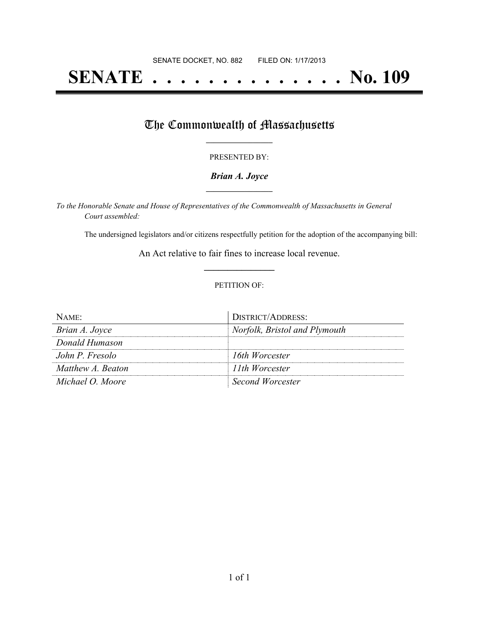# **SENATE . . . . . . . . . . . . . . No. 109**

## The Commonwealth of Massachusetts

#### PRESENTED BY:

### *Brian A. Joyce* **\_\_\_\_\_\_\_\_\_\_\_\_\_\_\_\_\_**

*To the Honorable Senate and House of Representatives of the Commonwealth of Massachusetts in General Court assembled:*

The undersigned legislators and/or citizens respectfully petition for the adoption of the accompanying bill:

An Act relative to fair fines to increase local revenue. **\_\_\_\_\_\_\_\_\_\_\_\_\_\_\_**

#### PETITION OF:

| $NAME$ :          | DISTRICT/ADDRESS:             |
|-------------------|-------------------------------|
| Brian A. Joyce    | Norfolk, Bristol and Plymouth |
| Donald Humason    |                               |
| John P. Fresolo   | 16th Worcester                |
| Matthew A. Beaton | 11th Worcester                |
| Michael O. Moore  | Second Worcester              |